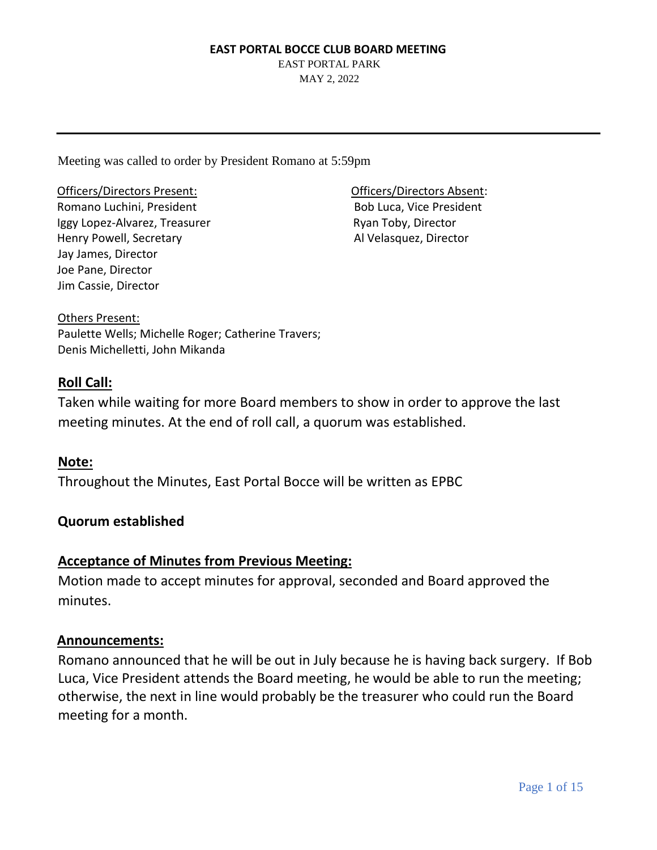EAST PORTAL PARK MAY 2, 2022

Meeting was called to order by President Romano at 5:59pm

Officers/Directors Present: Officers/Directors Absent: Romano Luchini, President **Bob Luca, Vice President** Iggy Lopez-Alvarez, Treasurer Ryan Toby, Director Henry Powell, Secretary All Velasquez, Director Jay James, Director Joe Pane, Director Jim Cassie, Director

Others Present: Paulette Wells; Michelle Roger; Catherine Travers; Denis Michelletti, John Mikanda

# **Roll Call:**

Taken while waiting for more Board members to show in order to approve the last meeting minutes. At the end of roll call, a quorum was established.

# **Note:**

Throughout the Minutes, East Portal Bocce will be written as EPBC

# **Quorum established**

# **Acceptance of Minutes from Previous Meeting:**

Motion made to accept minutes for approval, seconded and Board approved the minutes.

# **Announcements:**

Romano announced that he will be out in July because he is having back surgery. If Bob Luca, Vice President attends the Board meeting, he would be able to run the meeting; otherwise, the next in line would probably be the treasurer who could run the Board meeting for a month.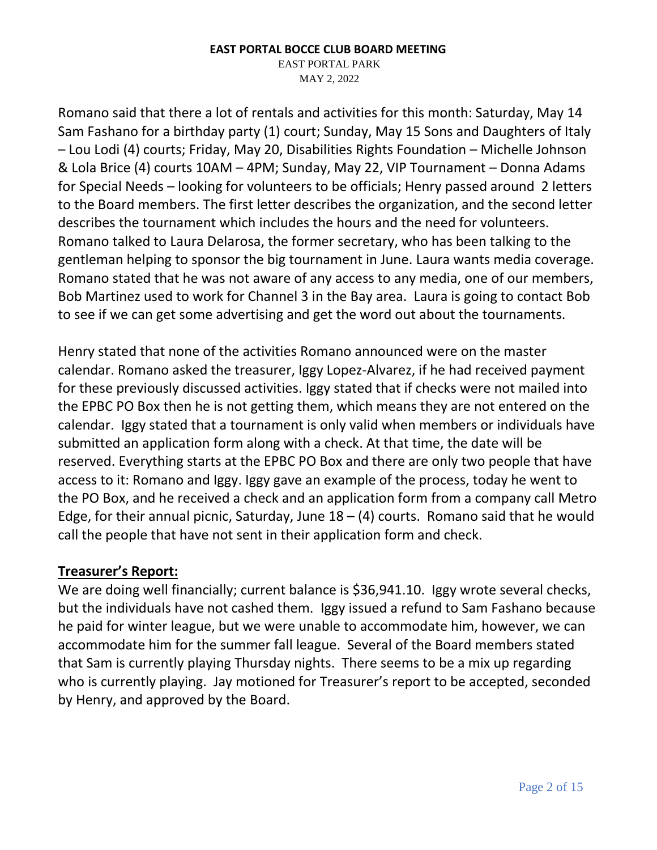EAST PORTAL PARK

MAY 2, 2022

Romano said that there a lot of rentals and activities for this month: Saturday, May 14 Sam Fashano for a birthday party (1) court; Sunday, May 15 Sons and Daughters of Italy – Lou Lodi (4) courts; Friday, May 20, Disabilities Rights Foundation – Michelle Johnson & Lola Brice (4) courts 10AM – 4PM; Sunday, May 22, VIP Tournament – Donna Adams for Special Needs – looking for volunteers to be officials; Henry passed around 2 letters to the Board members. The first letter describes the organization, and the second letter describes the tournament which includes the hours and the need for volunteers. Romano talked to Laura Delarosa, the former secretary, who has been talking to the gentleman helping to sponsor the big tournament in June. Laura wants media coverage. Romano stated that he was not aware of any access to any media, one of our members, Bob Martinez used to work for Channel 3 in the Bay area. Laura is going to contact Bob to see if we can get some advertising and get the word out about the tournaments.

Henry stated that none of the activities Romano announced were on the master calendar. Romano asked the treasurer, Iggy Lopez-Alvarez, if he had received payment for these previously discussed activities. Iggy stated that if checks were not mailed into the EPBC PO Box then he is not getting them, which means they are not entered on the calendar. Iggy stated that a tournament is only valid when members or individuals have submitted an application form along with a check. At that time, the date will be reserved. Everything starts at the EPBC PO Box and there are only two people that have access to it: Romano and Iggy. Iggy gave an example of the process, today he went to the PO Box, and he received a check and an application form from a company call Metro Edge, for their annual picnic, Saturday, June  $18 - (4)$  courts. Romano said that he would call the people that have not sent in their application form and check.

# **Treasurer's Report:**

We are doing well financially; current balance is \$36,941.10. Iggy wrote several checks, but the individuals have not cashed them. Iggy issued a refund to Sam Fashano because he paid for winter league, but we were unable to accommodate him, however, we can accommodate him for the summer fall league. Several of the Board members stated that Sam is currently playing Thursday nights. There seems to be a mix up regarding who is currently playing. Jay motioned for Treasurer's report to be accepted, seconded by Henry, and approved by the Board.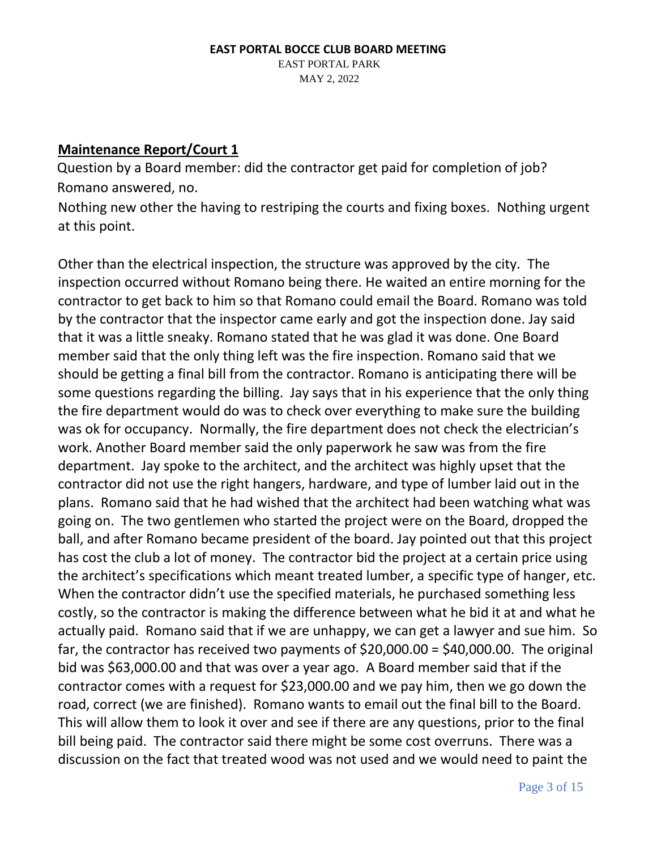### **EAST PORTAL BOCCE CLUB BOARD MEETING**  EAST PORTAL PARK MAY 2, 2022

# **Maintenance Report/Court 1**

Question by a Board member: did the contractor get paid for completion of job? Romano answered, no.

Nothing new other the having to restriping the courts and fixing boxes. Nothing urgent at this point.

Other than the electrical inspection, the structure was approved by the city. The inspection occurred without Romano being there. He waited an entire morning for the contractor to get back to him so that Romano could email the Board. Romano was told by the contractor that the inspector came early and got the inspection done. Jay said that it was a little sneaky. Romano stated that he was glad it was done. One Board member said that the only thing left was the fire inspection. Romano said that we should be getting a final bill from the contractor. Romano is anticipating there will be some questions regarding the billing. Jay says that in his experience that the only thing the fire department would do was to check over everything to make sure the building was ok for occupancy. Normally, the fire department does not check the electrician's work. Another Board member said the only paperwork he saw was from the fire department. Jay spoke to the architect, and the architect was highly upset that the contractor did not use the right hangers, hardware, and type of lumber laid out in the plans. Romano said that he had wished that the architect had been watching what was going on. The two gentlemen who started the project were on the Board, dropped the ball, and after Romano became president of the board. Jay pointed out that this project has cost the club a lot of money. The contractor bid the project at a certain price using the architect's specifications which meant treated lumber, a specific type of hanger, etc. When the contractor didn't use the specified materials, he purchased something less costly, so the contractor is making the difference between what he bid it at and what he actually paid. Romano said that if we are unhappy, we can get a lawyer and sue him. So far, the contractor has received two payments of  $$20,000.00 = $40,000.00$ . The original bid was \$63,000.00 and that was over a year ago. A Board member said that if the contractor comes with a request for \$23,000.00 and we pay him, then we go down the road, correct (we are finished). Romano wants to email out the final bill to the Board. This will allow them to look it over and see if there are any questions, prior to the final bill being paid. The contractor said there might be some cost overruns. There was a discussion on the fact that treated wood was not used and we would need to paint the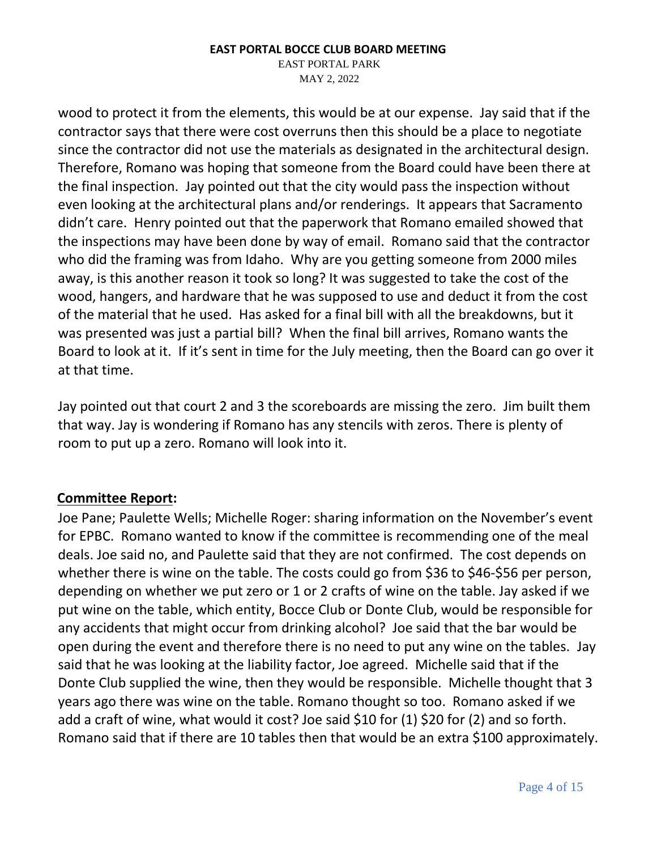EAST PORTAL PARK MAY 2, 2022

wood to protect it from the elements, this would be at our expense. Jay said that if the contractor says that there were cost overruns then this should be a place to negotiate since the contractor did not use the materials as designated in the architectural design. Therefore, Romano was hoping that someone from the Board could have been there at the final inspection. Jay pointed out that the city would pass the inspection without even looking at the architectural plans and/or renderings. It appears that Sacramento didn't care. Henry pointed out that the paperwork that Romano emailed showed that the inspections may have been done by way of email. Romano said that the contractor who did the framing was from Idaho. Why are you getting someone from 2000 miles away, is this another reason it took so long? It was suggested to take the cost of the wood, hangers, and hardware that he was supposed to use and deduct it from the cost of the material that he used. Has asked for a final bill with all the breakdowns, but it was presented was just a partial bill? When the final bill arrives, Romano wants the Board to look at it. If it's sent in time for the July meeting, then the Board can go over it at that time.

Jay pointed out that court 2 and 3 the scoreboards are missing the zero. Jim built them that way. Jay is wondering if Romano has any stencils with zeros. There is plenty of room to put up a zero. Romano will look into it.

### **Committee Report:**

Joe Pane; Paulette Wells; Michelle Roger: sharing information on the November's event for EPBC. Romano wanted to know if the committee is recommending one of the meal deals. Joe said no, and Paulette said that they are not confirmed. The cost depends on whether there is wine on the table. The costs could go from \$36 to \$46-\$56 per person, depending on whether we put zero or 1 or 2 crafts of wine on the table. Jay asked if we put wine on the table, which entity, Bocce Club or Donte Club, would be responsible for any accidents that might occur from drinking alcohol? Joe said that the bar would be open during the event and therefore there is no need to put any wine on the tables. Jay said that he was looking at the liability factor, Joe agreed. Michelle said that if the Donte Club supplied the wine, then they would be responsible. Michelle thought that 3 years ago there was wine on the table. Romano thought so too. Romano asked if we add a craft of wine, what would it cost? Joe said \$10 for (1) \$20 for (2) and so forth. Romano said that if there are 10 tables then that would be an extra \$100 approximately.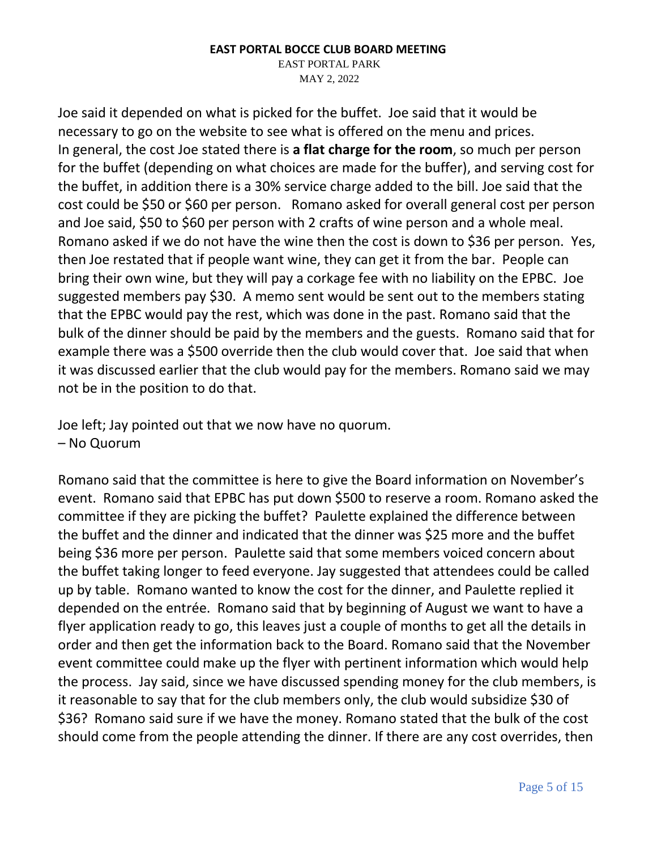EAST PORTAL PARK MAY 2, 2022

Joe said it depended on what is picked for the buffet. Joe said that it would be necessary to go on the website to see what is offered on the menu and prices. In general, the cost Joe stated there is **a flat charge for the room**, so much per person for the buffet (depending on what choices are made for the buffer), and serving cost for the buffet, in addition there is a 30% service charge added to the bill. Joe said that the cost could be \$50 or \$60 per person. Romano asked for overall general cost per person and Joe said, \$50 to \$60 per person with 2 crafts of wine person and a whole meal. Romano asked if we do not have the wine then the cost is down to \$36 per person. Yes, then Joe restated that if people want wine, they can get it from the bar. People can bring their own wine, but they will pay a corkage fee with no liability on the EPBC. Joe suggested members pay \$30. A memo sent would be sent out to the members stating that the EPBC would pay the rest, which was done in the past. Romano said that the bulk of the dinner should be paid by the members and the guests. Romano said that for example there was a \$500 override then the club would cover that. Joe said that when it was discussed earlier that the club would pay for the members. Romano said we may not be in the position to do that.

Joe left; Jay pointed out that we now have no quorum. – No Quorum

Romano said that the committee is here to give the Board information on November's event. Romano said that EPBC has put down \$500 to reserve a room. Romano asked the committee if they are picking the buffet? Paulette explained the difference between the buffet and the dinner and indicated that the dinner was \$25 more and the buffet being \$36 more per person. Paulette said that some members voiced concern about the buffet taking longer to feed everyone. Jay suggested that attendees could be called up by table. Romano wanted to know the cost for the dinner, and Paulette replied it depended on the entrée. Romano said that by beginning of August we want to have a flyer application ready to go, this leaves just a couple of months to get all the details in order and then get the information back to the Board. Romano said that the November event committee could make up the flyer with pertinent information which would help the process. Jay said, since we have discussed spending money for the club members, is it reasonable to say that for the club members only, the club would subsidize \$30 of \$36? Romano said sure if we have the money. Romano stated that the bulk of the cost should come from the people attending the dinner. If there are any cost overrides, then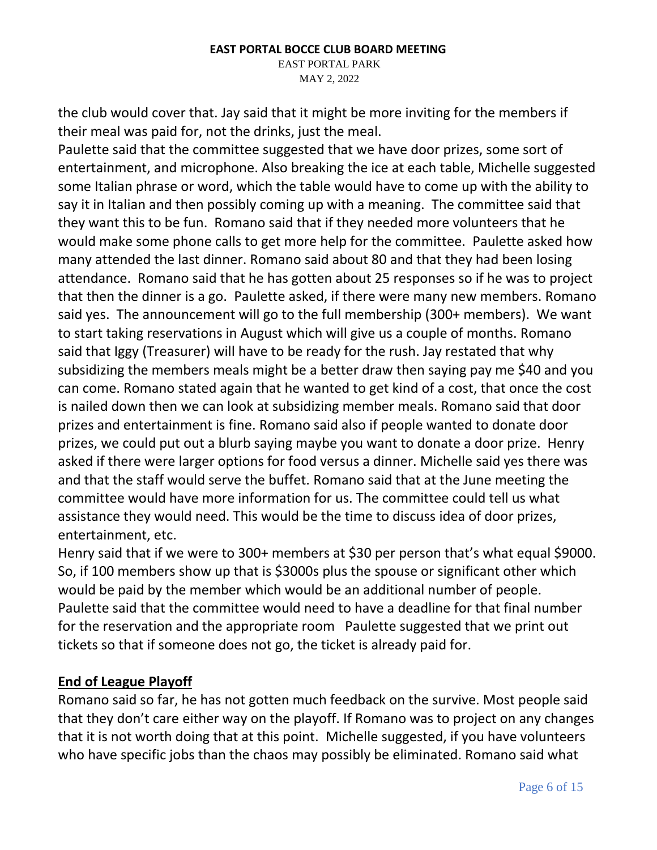EAST PORTAL PARK MAY 2, 2022

the club would cover that. Jay said that it might be more inviting for the members if their meal was paid for, not the drinks, just the meal.

Paulette said that the committee suggested that we have door prizes, some sort of entertainment, and microphone. Also breaking the ice at each table, Michelle suggested some Italian phrase or word, which the table would have to come up with the ability to say it in Italian and then possibly coming up with a meaning. The committee said that they want this to be fun. Romano said that if they needed more volunteers that he would make some phone calls to get more help for the committee. Paulette asked how many attended the last dinner. Romano said about 80 and that they had been losing attendance. Romano said that he has gotten about 25 responses so if he was to project that then the dinner is a go. Paulette asked, if there were many new members. Romano said yes. The announcement will go to the full membership (300+ members). We want to start taking reservations in August which will give us a couple of months. Romano said that Iggy (Treasurer) will have to be ready for the rush. Jay restated that why subsidizing the members meals might be a better draw then saying pay me \$40 and you can come. Romano stated again that he wanted to get kind of a cost, that once the cost is nailed down then we can look at subsidizing member meals. Romano said that door prizes and entertainment is fine. Romano said also if people wanted to donate door prizes, we could put out a blurb saying maybe you want to donate a door prize. Henry asked if there were larger options for food versus a dinner. Michelle said yes there was and that the staff would serve the buffet. Romano said that at the June meeting the committee would have more information for us. The committee could tell us what assistance they would need. This would be the time to discuss idea of door prizes, entertainment, etc.

Henry said that if we were to 300+ members at \$30 per person that's what equal \$9000. So, if 100 members show up that is \$3000s plus the spouse or significant other which would be paid by the member which would be an additional number of people. Paulette said that the committee would need to have a deadline for that final number for the reservation and the appropriate room Paulette suggested that we print out tickets so that if someone does not go, the ticket is already paid for.

# **End of League Playoff**

Romano said so far, he has not gotten much feedback on the survive. Most people said that they don't care either way on the playoff. If Romano was to project on any changes that it is not worth doing that at this point. Michelle suggested, if you have volunteers who have specific jobs than the chaos may possibly be eliminated. Romano said what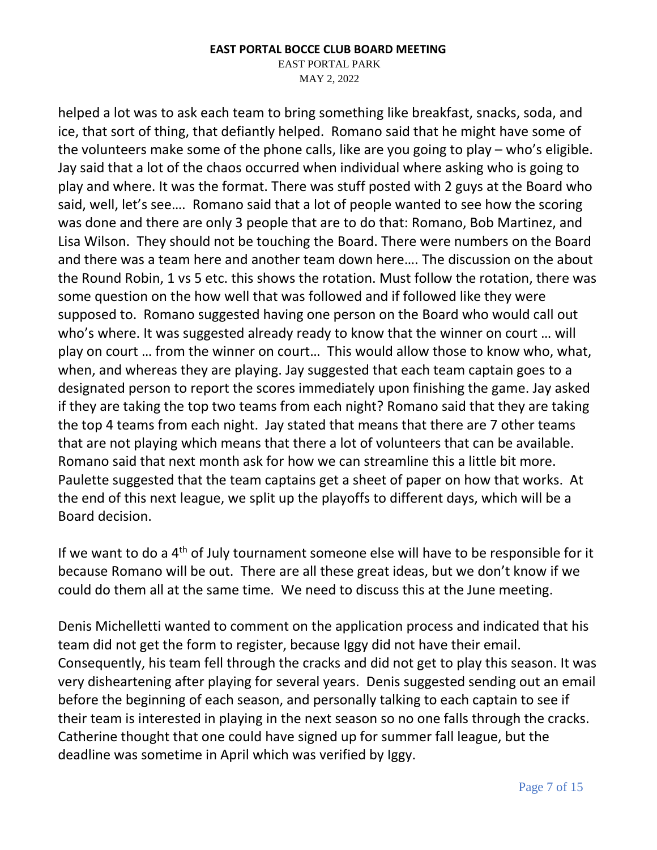EAST PORTAL PARK

MAY 2, 2022

helped a lot was to ask each team to bring something like breakfast, snacks, soda, and ice, that sort of thing, that defiantly helped. Romano said that he might have some of the volunteers make some of the phone calls, like are you going to play – who's eligible. Jay said that a lot of the chaos occurred when individual where asking who is going to play and where. It was the format. There was stuff posted with 2 guys at the Board who said, well, let's see…. Romano said that a lot of people wanted to see how the scoring was done and there are only 3 people that are to do that: Romano, Bob Martinez, and Lisa Wilson. They should not be touching the Board. There were numbers on the Board and there was a team here and another team down here…. The discussion on the about the Round Robin, 1 vs 5 etc. this shows the rotation. Must follow the rotation, there was some question on the how well that was followed and if followed like they were supposed to. Romano suggested having one person on the Board who would call out who's where. It was suggested already ready to know that the winner on court … will play on court … from the winner on court… This would allow those to know who, what, when, and whereas they are playing. Jay suggested that each team captain goes to a designated person to report the scores immediately upon finishing the game. Jay asked if they are taking the top two teams from each night? Romano said that they are taking the top 4 teams from each night. Jay stated that means that there are 7 other teams that are not playing which means that there a lot of volunteers that can be available. Romano said that next month ask for how we can streamline this a little bit more. Paulette suggested that the team captains get a sheet of paper on how that works. At the end of this next league, we split up the playoffs to different days, which will be a Board decision.

If we want to do a 4<sup>th</sup> of July tournament someone else will have to be responsible for it because Romano will be out. There are all these great ideas, but we don't know if we could do them all at the same time. We need to discuss this at the June meeting.

Denis Michelletti wanted to comment on the application process and indicated that his team did not get the form to register, because Iggy did not have their email. Consequently, his team fell through the cracks and did not get to play this season. It was very disheartening after playing for several years. Denis suggested sending out an email before the beginning of each season, and personally talking to each captain to see if their team is interested in playing in the next season so no one falls through the cracks. Catherine thought that one could have signed up for summer fall league, but the deadline was sometime in April which was verified by Iggy.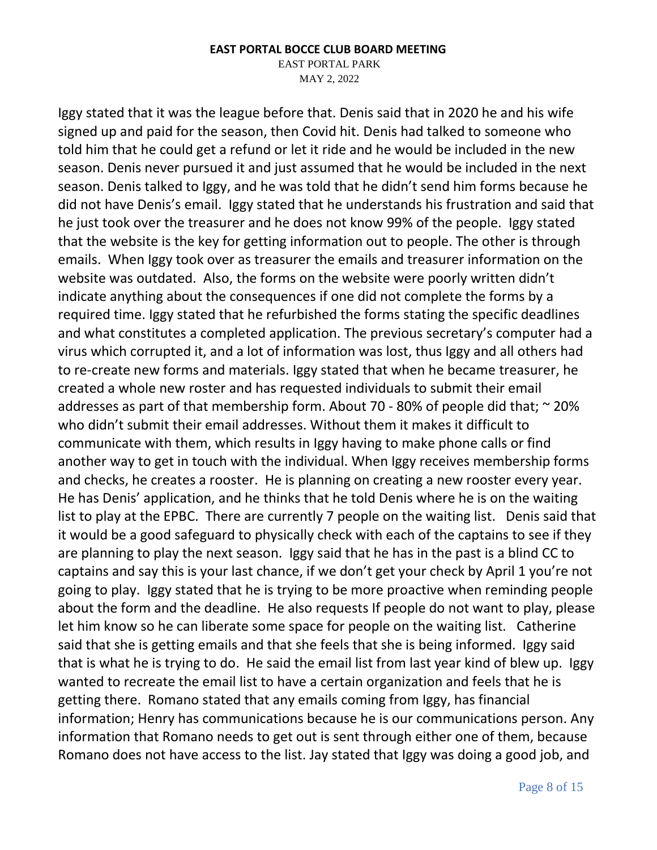EAST PORTAL PARK

MAY 2, 2022

Iggy stated that it was the league before that. Denis said that in 2020 he and his wife signed up and paid for the season, then Covid hit. Denis had talked to someone who told him that he could get a refund or let it ride and he would be included in the new season. Denis never pursued it and just assumed that he would be included in the next season. Denis talked to Iggy, and he was told that he didn't send him forms because he did not have Denis's email. Iggy stated that he understands his frustration and said that he just took over the treasurer and he does not know 99% of the people. Iggy stated that the website is the key for getting information out to people. The other is through emails. When Iggy took over as treasurer the emails and treasurer information on the website was outdated. Also, the forms on the website were poorly written didn't indicate anything about the consequences if one did not complete the forms by a required time. Iggy stated that he refurbished the forms stating the specific deadlines and what constitutes a completed application. The previous secretary's computer had a virus which corrupted it, and a lot of information was lost, thus Iggy and all others had to re-create new forms and materials. Iggy stated that when he became treasurer, he created a whole new roster and has requested individuals to submit their email addresses as part of that membership form. About 70 - 80% of people did that;  $\sim$  20% who didn't submit their email addresses. Without them it makes it difficult to communicate with them, which results in Iggy having to make phone calls or find another way to get in touch with the individual. When Iggy receives membership forms and checks, he creates a rooster. He is planning on creating a new rooster every year. He has Denis' application, and he thinks that he told Denis where he is on the waiting list to play at the EPBC. There are currently 7 people on the waiting list. Denis said that it would be a good safeguard to physically check with each of the captains to see if they are planning to play the next season. Iggy said that he has in the past is a blind CC to captains and say this is your last chance, if we don't get your check by April 1 you're not going to play. Iggy stated that he is trying to be more proactive when reminding people about the form and the deadline. He also requests If people do not want to play, please let him know so he can liberate some space for people on the waiting list. Catherine said that she is getting emails and that she feels that she is being informed. Iggy said that is what he is trying to do. He said the email list from last year kind of blew up. Iggy wanted to recreate the email list to have a certain organization and feels that he is getting there. Romano stated that any emails coming from Iggy, has financial information; Henry has communications because he is our communications person. Any information that Romano needs to get out is sent through either one of them, because Romano does not have access to the list. Jay stated that Iggy was doing a good job, and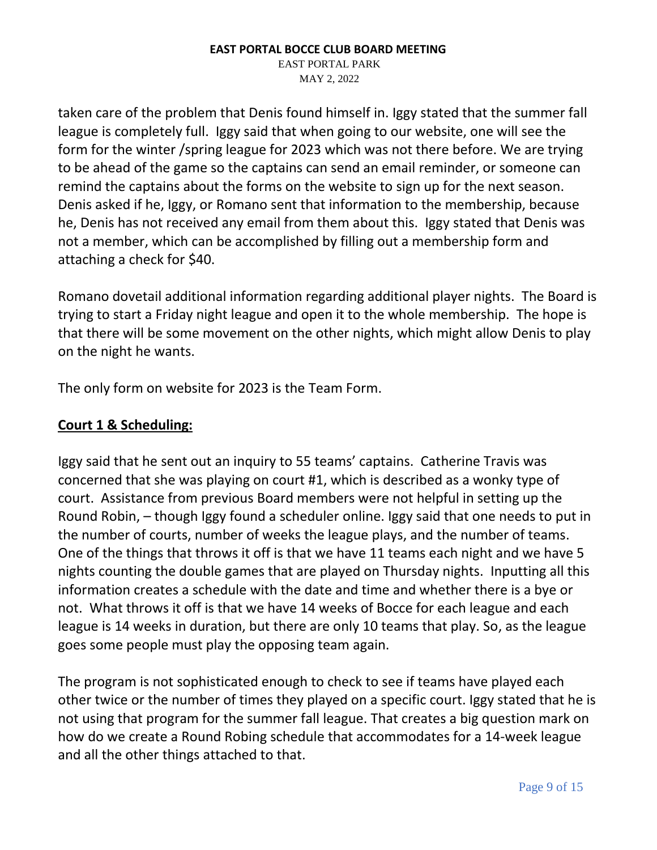EAST PORTAL PARK MAY 2, 2022

taken care of the problem that Denis found himself in. Iggy stated that the summer fall league is completely full. Iggy said that when going to our website, one will see the form for the winter /spring league for 2023 which was not there before. We are trying to be ahead of the game so the captains can send an email reminder, or someone can remind the captains about the forms on the website to sign up for the next season. Denis asked if he, Iggy, or Romano sent that information to the membership, because he, Denis has not received any email from them about this. Iggy stated that Denis was not a member, which can be accomplished by filling out a membership form and attaching a check for \$40.

Romano dovetail additional information regarding additional player nights. The Board is trying to start a Friday night league and open it to the whole membership. The hope is that there will be some movement on the other nights, which might allow Denis to play on the night he wants.

The only form on website for 2023 is the Team Form.

## **Court 1 & Scheduling:**

Iggy said that he sent out an inquiry to 55 teams' captains. Catherine Travis was concerned that she was playing on court #1, which is described as a wonky type of court. Assistance from previous Board members were not helpful in setting up the Round Robin, – though Iggy found a scheduler online. Iggy said that one needs to put in the number of courts, number of weeks the league plays, and the number of teams. One of the things that throws it off is that we have 11 teams each night and we have 5 nights counting the double games that are played on Thursday nights. Inputting all this information creates a schedule with the date and time and whether there is a bye or not. What throws it off is that we have 14 weeks of Bocce for each league and each league is 14 weeks in duration, but there are only 10 teams that play. So, as the league goes some people must play the opposing team again.

The program is not sophisticated enough to check to see if teams have played each other twice or the number of times they played on a specific court. Iggy stated that he is not using that program for the summer fall league. That creates a big question mark on how do we create a Round Robing schedule that accommodates for a 14-week league and all the other things attached to that.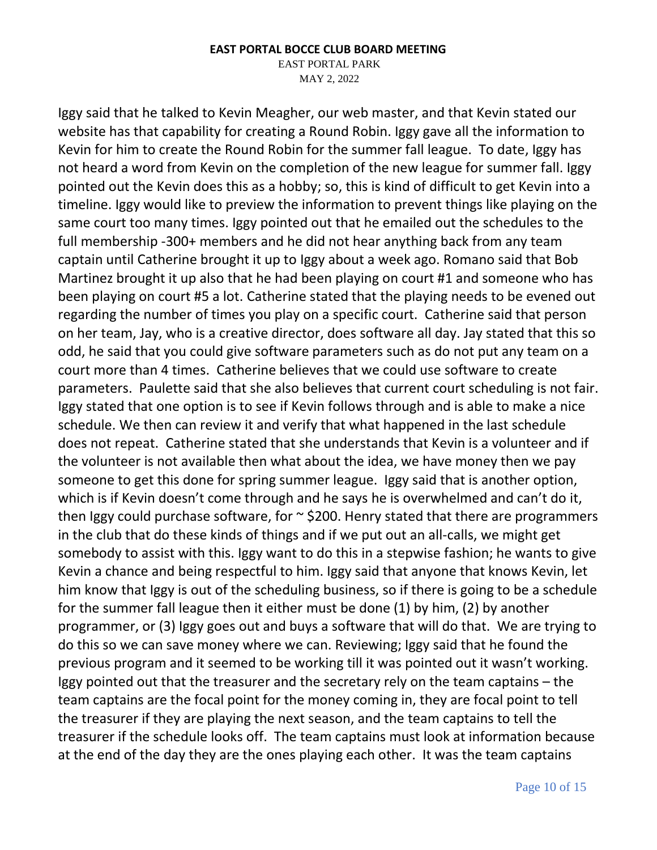EAST PORTAL PARK

MAY 2, 2022

Iggy said that he talked to Kevin Meagher, our web master, and that Kevin stated our website has that capability for creating a Round Robin. Iggy gave all the information to Kevin for him to create the Round Robin for the summer fall league. To date, Iggy has not heard a word from Kevin on the completion of the new league for summer fall. Iggy pointed out the Kevin does this as a hobby; so, this is kind of difficult to get Kevin into a timeline. Iggy would like to preview the information to prevent things like playing on the same court too many times. Iggy pointed out that he emailed out the schedules to the full membership -300+ members and he did not hear anything back from any team captain until Catherine brought it up to Iggy about a week ago. Romano said that Bob Martinez brought it up also that he had been playing on court #1 and someone who has been playing on court #5 a lot. Catherine stated that the playing needs to be evened out regarding the number of times you play on a specific court. Catherine said that person on her team, Jay, who is a creative director, does software all day. Jay stated that this so odd, he said that you could give software parameters such as do not put any team on a court more than 4 times. Catherine believes that we could use software to create parameters. Paulette said that she also believes that current court scheduling is not fair. Iggy stated that one option is to see if Kevin follows through and is able to make a nice schedule. We then can review it and verify that what happened in the last schedule does not repeat. Catherine stated that she understands that Kevin is a volunteer and if the volunteer is not available then what about the idea, we have money then we pay someone to get this done for spring summer league. Iggy said that is another option, which is if Kevin doesn't come through and he says he is overwhelmed and can't do it, then Iggy could purchase software, for  $\sim$  \$200. Henry stated that there are programmers in the club that do these kinds of things and if we put out an all-calls, we might get somebody to assist with this. Iggy want to do this in a stepwise fashion; he wants to give Kevin a chance and being respectful to him. Iggy said that anyone that knows Kevin, let him know that Iggy is out of the scheduling business, so if there is going to be a schedule for the summer fall league then it either must be done (1) by him, (2) by another programmer, or (3) Iggy goes out and buys a software that will do that. We are trying to do this so we can save money where we can. Reviewing; Iggy said that he found the previous program and it seemed to be working till it was pointed out it wasn't working. Iggy pointed out that the treasurer and the secretary rely on the team captains – the team captains are the focal point for the money coming in, they are focal point to tell the treasurer if they are playing the next season, and the team captains to tell the treasurer if the schedule looks off. The team captains must look at information because at the end of the day they are the ones playing each other. It was the team captains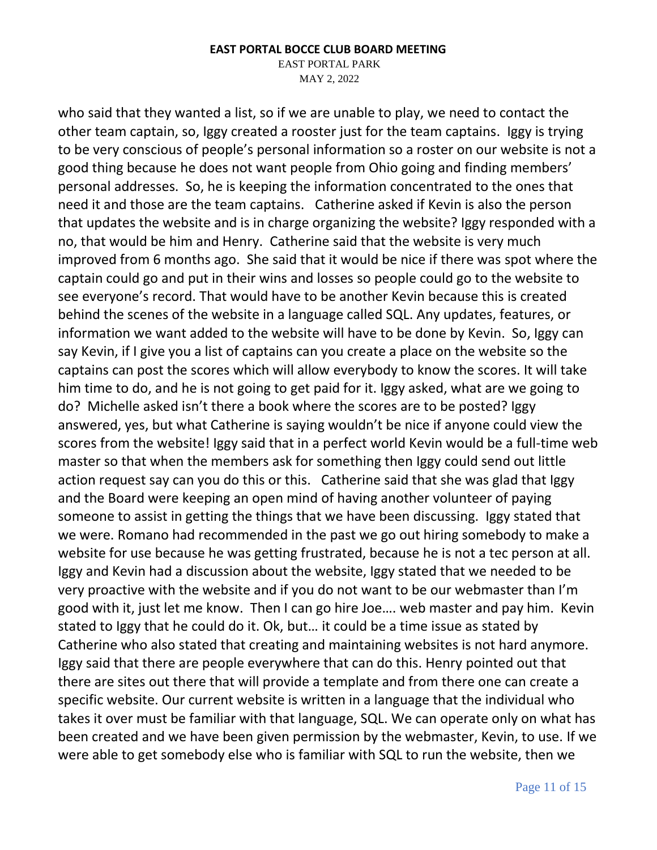EAST PORTAL PARK

MAY 2, 2022

who said that they wanted a list, so if we are unable to play, we need to contact the other team captain, so, Iggy created a rooster just for the team captains. Iggy is trying to be very conscious of people's personal information so a roster on our website is not a good thing because he does not want people from Ohio going and finding members' personal addresses. So, he is keeping the information concentrated to the ones that need it and those are the team captains. Catherine asked if Kevin is also the person that updates the website and is in charge organizing the website? Iggy responded with a no, that would be him and Henry. Catherine said that the website is very much improved from 6 months ago. She said that it would be nice if there was spot where the captain could go and put in their wins and losses so people could go to the website to see everyone's record. That would have to be another Kevin because this is created behind the scenes of the website in a language called SQL. Any updates, features, or information we want added to the website will have to be done by Kevin. So, Iggy can say Kevin, if I give you a list of captains can you create a place on the website so the captains can post the scores which will allow everybody to know the scores. It will take him time to do, and he is not going to get paid for it. Iggy asked, what are we going to do? Michelle asked isn't there a book where the scores are to be posted? Iggy answered, yes, but what Catherine is saying wouldn't be nice if anyone could view the scores from the website! Iggy said that in a perfect world Kevin would be a full-time web master so that when the members ask for something then Iggy could send out little action request say can you do this or this. Catherine said that she was glad that Iggy and the Board were keeping an open mind of having another volunteer of paying someone to assist in getting the things that we have been discussing. Iggy stated that we were. Romano had recommended in the past we go out hiring somebody to make a website for use because he was getting frustrated, because he is not a tec person at all. Iggy and Kevin had a discussion about the website, Iggy stated that we needed to be very proactive with the website and if you do not want to be our webmaster than I'm good with it, just let me know. Then I can go hire Joe…. web master and pay him. Kevin stated to Iggy that he could do it. Ok, but… it could be a time issue as stated by Catherine who also stated that creating and maintaining websites is not hard anymore. Iggy said that there are people everywhere that can do this. Henry pointed out that there are sites out there that will provide a template and from there one can create a specific website. Our current website is written in a language that the individual who takes it over must be familiar with that language, SQL. We can operate only on what has been created and we have been given permission by the webmaster, Kevin, to use. If we were able to get somebody else who is familiar with SQL to run the website, then we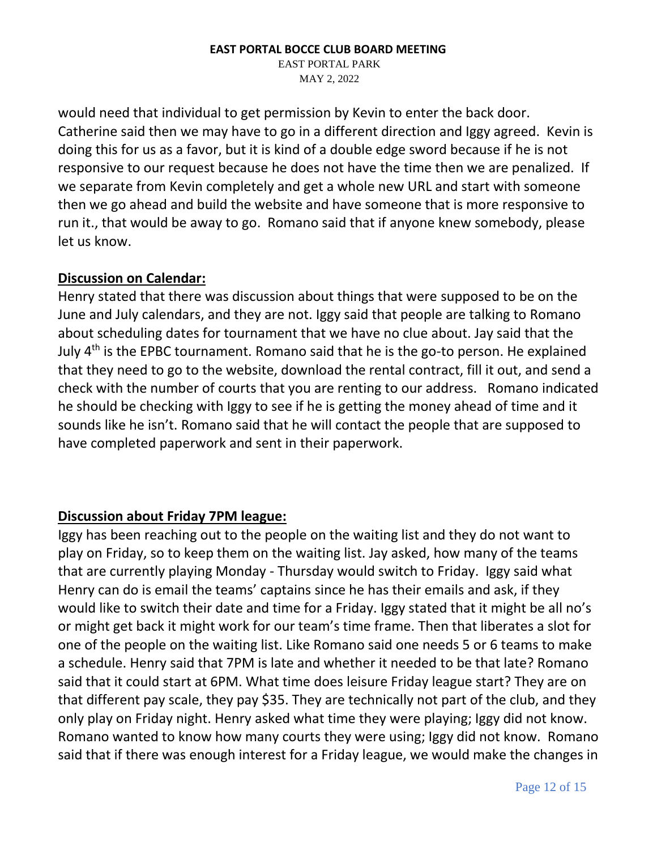EAST PORTAL PARK MAY 2, 2022

would need that individual to get permission by Kevin to enter the back door. Catherine said then we may have to go in a different direction and Iggy agreed. Kevin is doing this for us as a favor, but it is kind of a double edge sword because if he is not responsive to our request because he does not have the time then we are penalized. If we separate from Kevin completely and get a whole new URL and start with someone then we go ahead and build the website and have someone that is more responsive to run it., that would be away to go. Romano said that if anyone knew somebody, please let us know.

### **Discussion on Calendar:**

Henry stated that there was discussion about things that were supposed to be on the June and July calendars, and they are not. Iggy said that people are talking to Romano about scheduling dates for tournament that we have no clue about. Jay said that the July  $4<sup>th</sup>$  is the EPBC tournament. Romano said that he is the go-to person. He explained that they need to go to the website, download the rental contract, fill it out, and send a check with the number of courts that you are renting to our address. Romano indicated he should be checking with Iggy to see if he is getting the money ahead of time and it sounds like he isn't. Romano said that he will contact the people that are supposed to have completed paperwork and sent in their paperwork.

# **Discussion about Friday 7PM league:**

Iggy has been reaching out to the people on the waiting list and they do not want to play on Friday, so to keep them on the waiting list. Jay asked, how many of the teams that are currently playing Monday - Thursday would switch to Friday. Iggy said what Henry can do is email the teams' captains since he has their emails and ask, if they would like to switch their date and time for a Friday. Iggy stated that it might be all no's or might get back it might work for our team's time frame. Then that liberates a slot for one of the people on the waiting list. Like Romano said one needs 5 or 6 teams to make a schedule. Henry said that 7PM is late and whether it needed to be that late? Romano said that it could start at 6PM. What time does leisure Friday league start? They are on that different pay scale, they pay \$35. They are technically not part of the club, and they only play on Friday night. Henry asked what time they were playing; Iggy did not know. Romano wanted to know how many courts they were using; Iggy did not know. Romano said that if there was enough interest for a Friday league, we would make the changes in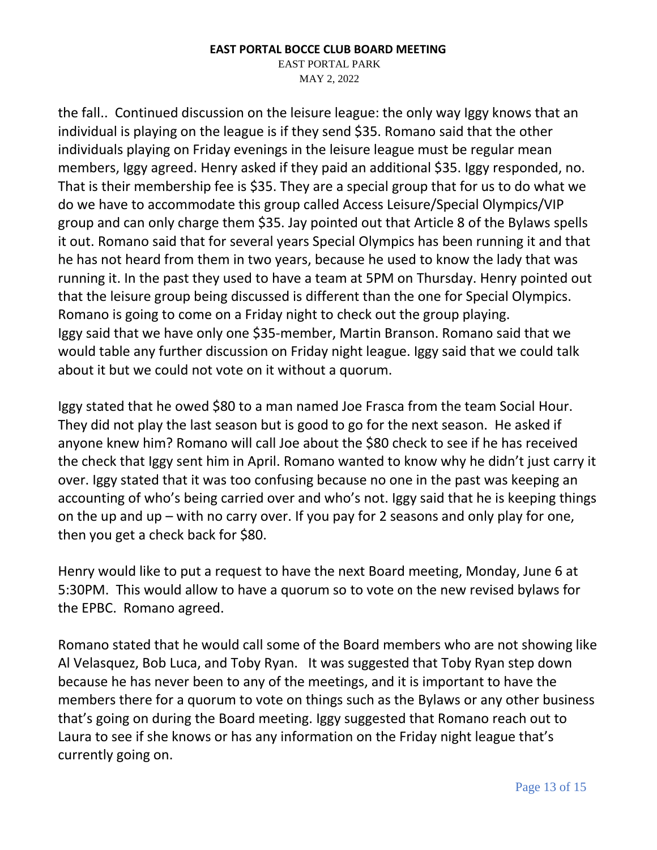EAST PORTAL PARK MAY 2, 2022

the fall.. Continued discussion on the leisure league: the only way Iggy knows that an individual is playing on the league is if they send \$35. Romano said that the other individuals playing on Friday evenings in the leisure league must be regular mean members, Iggy agreed. Henry asked if they paid an additional \$35. Iggy responded, no. That is their membership fee is \$35. They are a special group that for us to do what we do we have to accommodate this group called Access Leisure/Special Olympics/VIP group and can only charge them \$35. Jay pointed out that Article 8 of the Bylaws spells it out. Romano said that for several years Special Olympics has been running it and that he has not heard from them in two years, because he used to know the lady that was running it. In the past they used to have a team at 5PM on Thursday. Henry pointed out that the leisure group being discussed is different than the one for Special Olympics. Romano is going to come on a Friday night to check out the group playing. Iggy said that we have only one \$35-member, Martin Branson. Romano said that we would table any further discussion on Friday night league. Iggy said that we could talk about it but we could not vote on it without a quorum.

Iggy stated that he owed \$80 to a man named Joe Frasca from the team Social Hour. They did not play the last season but is good to go for the next season. He asked if anyone knew him? Romano will call Joe about the \$80 check to see if he has received the check that Iggy sent him in April. Romano wanted to know why he didn't just carry it over. Iggy stated that it was too confusing because no one in the past was keeping an accounting of who's being carried over and who's not. Iggy said that he is keeping things on the up and up – with no carry over. If you pay for 2 seasons and only play for one, then you get a check back for \$80.

Henry would like to put a request to have the next Board meeting, Monday, June 6 at 5:30PM. This would allow to have a quorum so to vote on the new revised bylaws for the EPBC. Romano agreed.

Romano stated that he would call some of the Board members who are not showing like Al Velasquez, Bob Luca, and Toby Ryan. It was suggested that Toby Ryan step down because he has never been to any of the meetings, and it is important to have the members there for a quorum to vote on things such as the Bylaws or any other business that's going on during the Board meeting. Iggy suggested that Romano reach out to Laura to see if she knows or has any information on the Friday night league that's currently going on.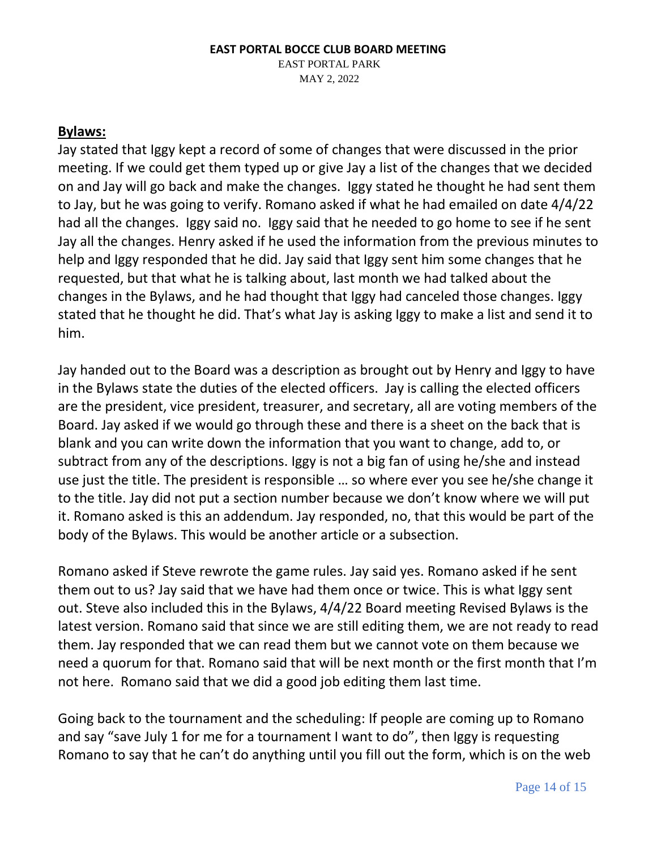### **EAST PORTAL BOCCE CLUB BOARD MEETING**  EAST PORTAL PARK MAY 2, 2022

### **Bylaws:**

Jay stated that Iggy kept a record of some of changes that were discussed in the prior meeting. If we could get them typed up or give Jay a list of the changes that we decided on and Jay will go back and make the changes. Iggy stated he thought he had sent them to Jay, but he was going to verify. Romano asked if what he had emailed on date 4/4/22 had all the changes. Iggy said no. Iggy said that he needed to go home to see if he sent Jay all the changes. Henry asked if he used the information from the previous minutes to help and Iggy responded that he did. Jay said that Iggy sent him some changes that he requested, but that what he is talking about, last month we had talked about the changes in the Bylaws, and he had thought that Iggy had canceled those changes. Iggy stated that he thought he did. That's what Jay is asking Iggy to make a list and send it to him.

Jay handed out to the Board was a description as brought out by Henry and Iggy to have in the Bylaws state the duties of the elected officers. Jay is calling the elected officers are the president, vice president, treasurer, and secretary, all are voting members of the Board. Jay asked if we would go through these and there is a sheet on the back that is blank and you can write down the information that you want to change, add to, or subtract from any of the descriptions. Iggy is not a big fan of using he/she and instead use just the title. The president is responsible … so where ever you see he/she change it to the title. Jay did not put a section number because we don't know where we will put it. Romano asked is this an addendum. Jay responded, no, that this would be part of the body of the Bylaws. This would be another article or a subsection.

Romano asked if Steve rewrote the game rules. Jay said yes. Romano asked if he sent them out to us? Jay said that we have had them once or twice. This is what Iggy sent out. Steve also included this in the Bylaws, 4/4/22 Board meeting Revised Bylaws is the latest version. Romano said that since we are still editing them, we are not ready to read them. Jay responded that we can read them but we cannot vote on them because we need a quorum for that. Romano said that will be next month or the first month that I'm not here. Romano said that we did a good job editing them last time.

Going back to the tournament and the scheduling: If people are coming up to Romano and say "save July 1 for me for a tournament I want to do", then Iggy is requesting Romano to say that he can't do anything until you fill out the form, which is on the web